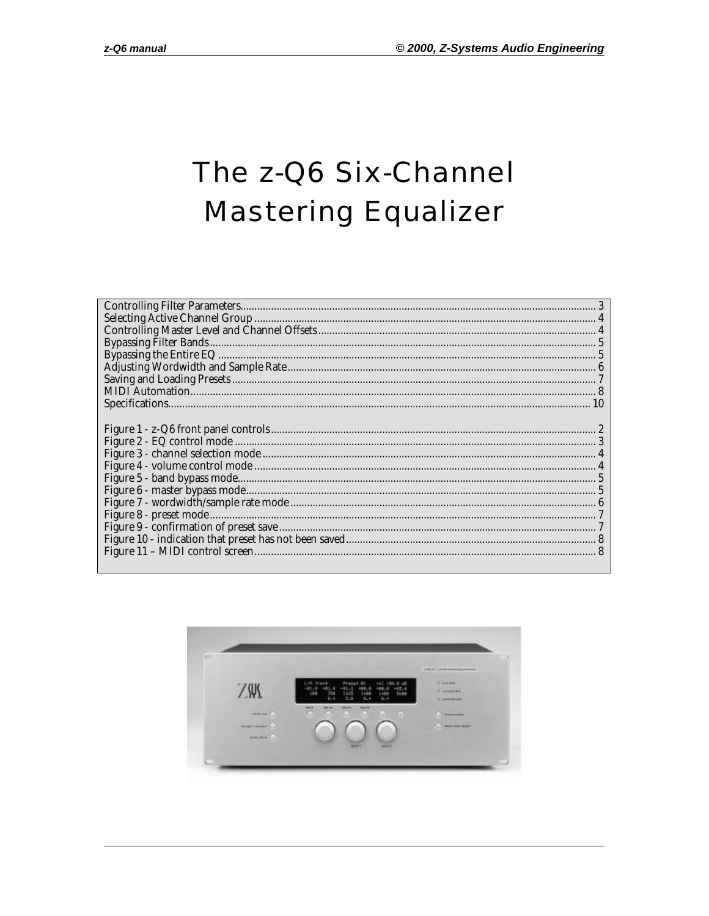# The z-Q6 Six-Channel **Mastering Equalizer**

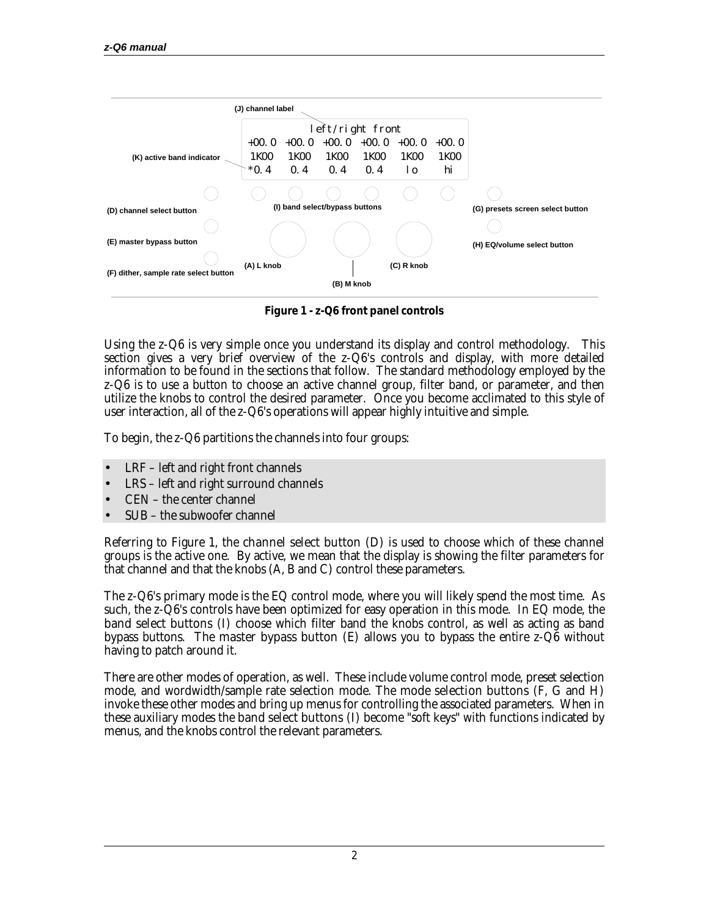

**Figure 1 - z-Q6 front panel controls**

Using the z-Q6 is very simple once you understand its display and control methodology. This section gives a very brief overview of the z-Q6's controls and display, with more detailed information to be found in the sections that follow. The standard methodology employed by the z-Q6 is to use a button to choose an active channel group, filter band, or parameter, and then utilize the knobs to control the desired parameter. Once you become acclimated to this style of user interaction, all of the z-Q6's operations will appear highly intuitive and simple.

To begin, the z-Q6 partitions the channels into four groups:

- LRF left and right front channels
- LRS left and right surround channels
- CEN the center channel
- SUB the subwoofer channel

Referring to Figure 1, the **channel select button** (D) is used to choose which of these channel groups is the active one. By active, we mean that the display is showing the filter parameters for that channel and that the knobs (A, B and C) control these parameters.

The z-Q6's primary mode is the EQ control mode, where you will likely spend the most time. As such, the z-Q6's controls have been optimized for easy operation in this mode. In EQ mode, the **band select buttons** (I) choose which filter band the knobs control, as well as acting as band bypass buttons. The **master bypass button** (E) allows you to bypass the entire  $z - Q6$  without having to patch around it.

There are other modes of operation, as well. These include volume control mode, preset selection mode, and wordwidth/sample rate selection mode. The **mode selection buttons** (F, G and H) invoke these other modes and bring up menus for controlling the associated parameters. When in these auxiliary modes the **band select buttons** (I) become "soft keys" with functions indicated by menus, and the knobs control the relevant parameters.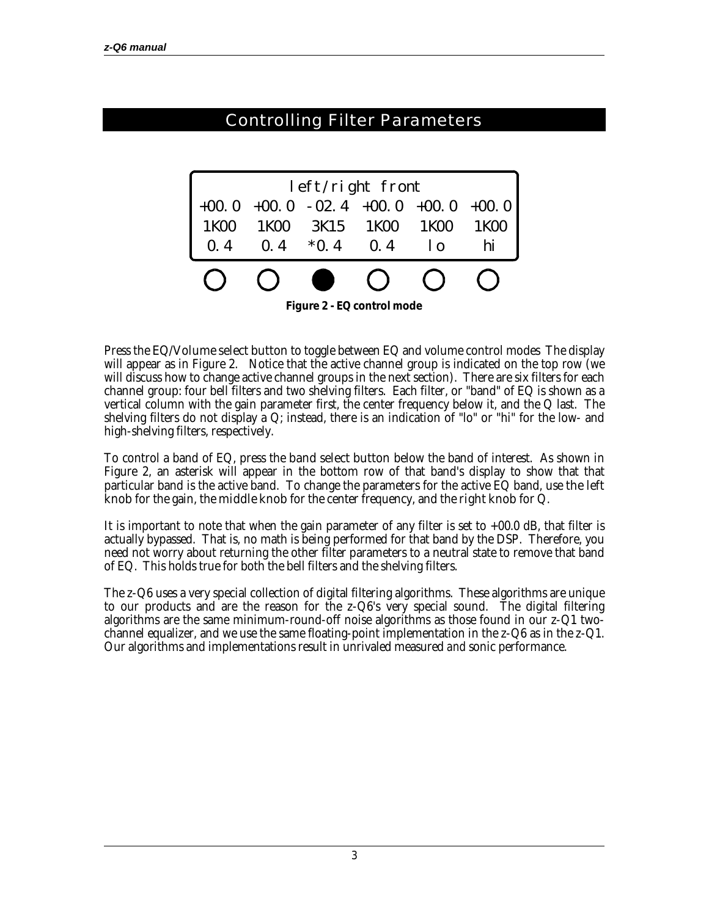#### Controlling Filter Parameters +00.0 +00.0 +00.0 -02.4 +00.0 +00.0 0.4 1K00 3K15 \*0.4 1K00 0.4 1K00 lo 1K00 hi left/right front 1K00 0.4

**Figure 2 - EQ control mode**

Press the **EQ/Volume select button** to toggle between EQ and volume control modes The display will appear as in Figure 2. Notice that the active channel group is indicated on the top row (we will discuss how to change active channel groups in the next section). There are six filters for each channel group: four bell filters and two shelving filters. Each filter, or "band" of EQ is shown as a vertical column with the gain parameter first, the center frequency below it, and the Q last. The shelving filters do not display a Q; instead, there is an indication of "lo" or "hi" for the low- and high-shelving filters, respectively.

To control a band of EQ, press the **band select button** below the band of interest. As shown in Figure 2, an asterisk will appear in the bottom row of that band's display to show that that particular band is the active band. To change the parameters for the active EQ band, use **the left knob** for the gain, the **middle knob** for the center frequency, and the **right knob** for Q.

It is important to note that when the gain parameter of any filter is set to  $+00.0$  dB, that filter is actually bypassed. That is, no math is being performed for that band by the DSP. Therefore, you need not worry about returning the other filter parameters to a neutral state to remove that band of EQ. This holds true for both the bell filters and the shelving filters.

The z-Q6 uses a very special collection of digital filtering algorithms. These algorithms are unique to our products and are the reason for the z-Q6's very special sound. The digital filtering algorithms are the same minimum-round-off noise algorithms as those found in our z-Q1 twochannel equalizer, and we use the same floating-point implementation in the z-Q6 as in the z-Q1. Our algorithms and implementations result in unrivaled measured *and* sonic performance.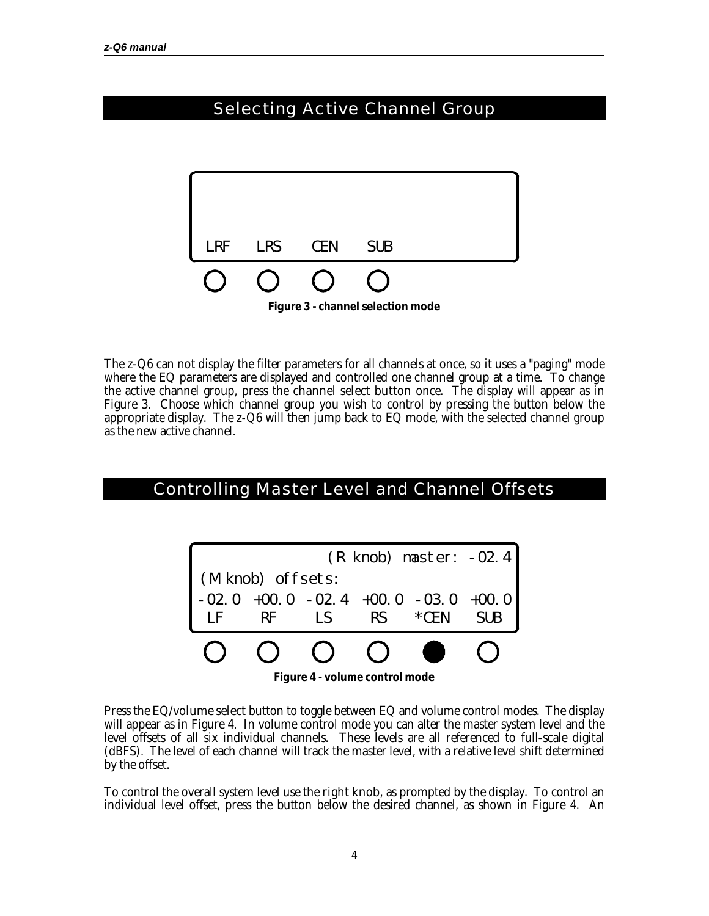# Selecting Active Channel Group



The z-Q6 can not display the filter parameters for all channels at once, so it uses a "paging" mode where the EQ parameters are displayed and controlled one channel group at a time. To change the active channel group, press the **channel select button** once. The display will appear as in Figure 3. Choose which channel group you wish to control by pressing the button below the appropriate display. The z-Q6 will then jump back to EQ mode, with the selected channel group as the new active channel.

#### Controlling Master Level and Channel Offsets



**Figure 4 - volume control mode**

Press the **EQ/volume select** button to toggle between EQ and volume control modes. The display will appear as in Figure 4. In volume control mode you can alter the master system level and the level offsets of all six individual channels. These levels are all referenced to full-scale digital (dBFS). The level of each channel will track the master level, with a relative level shift determined by the offset.

To control the overall system level use the **right knob**, as prompted by the display. To control an individual level offset, press the button below the desired channel, as shown in Figure 4. An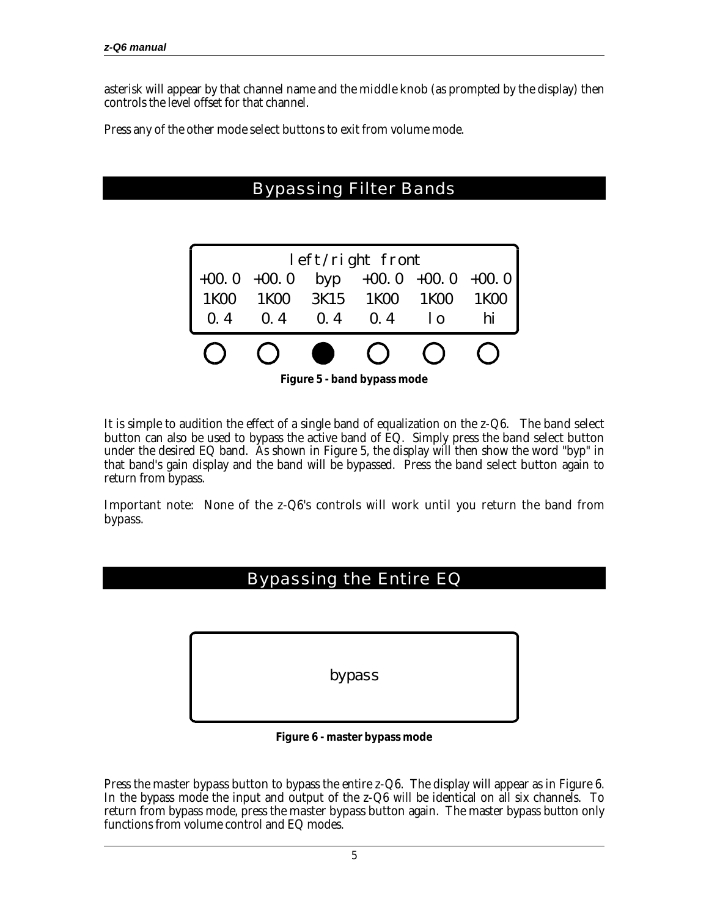asterisk will appear by that channel name and the **middle knob** (as prompted by the display) then controls the level offset for that channel.

Press any of the other **mode select buttons** to exit from volume mode.

### Bypassing Filter Bands



It is simple to audition the effect of a single band of equalization on the  $z-Q6$ . The **band select button** can also be used to bypass the active band of EQ. Simply press the **band select button** under the desired EQ band. As shown in Figure 5, the display will then show the word "byp" in that band's gain display and the band will be bypassed. Press the **band select button** again to return from bypass.

Important note: None of the z-Q6's controls will work until you return the band from bypass.

#### Bypassing the Entire EQ

bypass

**Figure 6 - master bypass mode**

Press the **master bypass button** to bypass the entire z-Q6. The display will appear as in Figure 6. In the bypass mode the input and output of the z-Q6 will be identical on all six channels. To return from bypass mode, press the **master bypass button** again. The master bypass button only functions from volume control and EQ modes.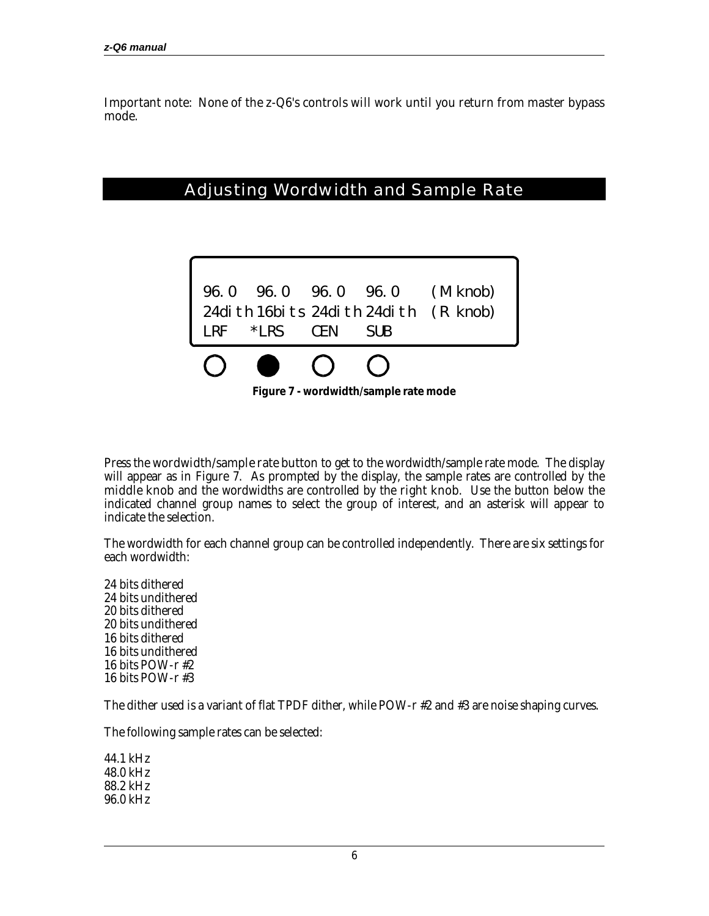Important note: None of the z-Q6's controls will work until you return from master bypass mode.

#### Adjusting Wordwidth and Sample Rate



Press the **wordwidth/sample rate button** to get to the wordwidth/sample rate mode. The display will appear as in Figure 7. As prompted by the display, the sample rates are controlled by the **middle knob** and the wordwidths are controlled by the **right knob**. Use the button below the indicated channel group names to select the group of interest, and an asterisk will appear to indicate the selection.

The wordwidth for each channel group can be controlled independently. There are six settings for each wordwidth:

24 bits dithered 24 bits undithered 20 bits dithered 20 bits undithered 16 bits dithered 16 bits undithered 16 bits POW-r #2 16 bits POW-r #3

The dither used is a variant of flat TPDF dither, while POW-r #2 and #3 are noise shaping curves.

The following sample rates can be selected:

44.1 kHz 48.0 kHz 88.2 kHz 96.0 kHz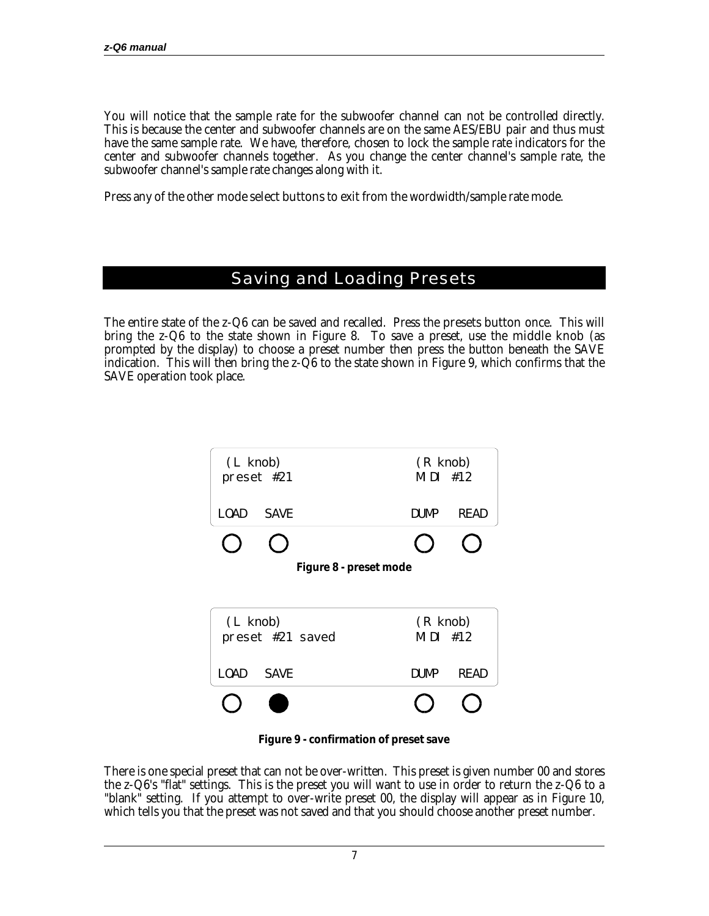You will notice that the sample rate for the subwoofer channel can not be controlled directly. This is because the center and subwoofer channels are on the same AES/EBU pair and thus must have the same sample rate. We have, therefore, chosen to lock the sample rate indicators for the center and subwoofer channels together. As you change the center channel's sample rate, the subwoofer channel's sample rate changes along with it.

Press any of the other **mode select buttons** to exit from the wordwidth/sample rate mode.

#### Saving and Loading Presets

The entire state of the z-Q6 can be saved and recalled. Press the **presets button** once. This will bring the z-Q6 to the state shown in Figure 8. To save a preset, use the **middle knob** (as prompted by the display) to choose a preset number then press the button beneath the SAVE indication. This will then bring the z-Q6 to the state shown in Figure 9, which confirms that the SAVE operation took place.



**Figure 9 - confirmation of preset save**

There is one special preset that can not be over-written. This preset is given number 00 and stores the z-Q6's "flat" settings. This is the preset you will want to use in order to return the z-Q6 to a "blank" setting. If you attempt to over-write preset 00, the display will appear as in Figure 10, which tells you that the preset was not saved and that you should choose another preset number.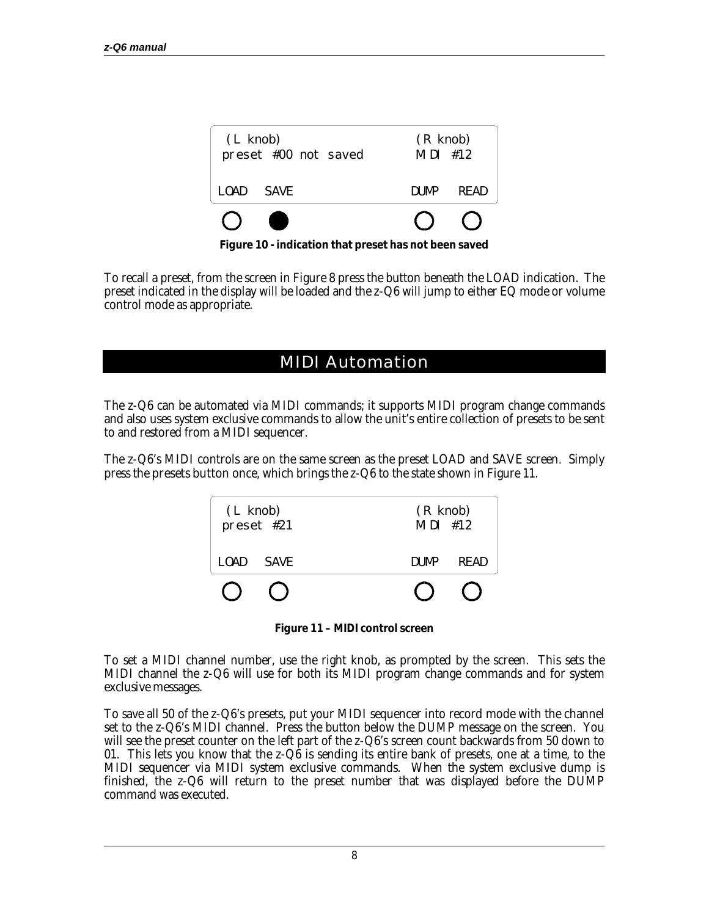| $(L$ knob)<br>preset #00 not saved |      |       | $(R$ knob)<br>$MIDI$ #12 |  |
|------------------------------------|------|-------|--------------------------|--|
| LOAD.                              | SAVF | DUMP. | READ                     |  |
|                                    |      |       |                          |  |

**Figure 10 - indication that preset has not been saved**

To recall a preset, from the screen in Figure 8 press the button beneath the LOAD indication. The preset indicated in the display will be loaded and the z-Q6 will jump to either EQ mode or volume control mode as appropriate.

#### MIDI Automation

The z-Q6 can be automated via MIDI commands; it supports MIDI program change commands and also uses system exclusive commands to allow the unit's entire collection of presets to be sent to and restored from a MIDI sequencer.

The z-Q6's MIDI controls are on the same screen as the preset LOAD and SAVE screen. Simply press the **presets button** once, which brings the z-Q6 to the state shown in Figure 11.



**Figure 11 – MIDI control screen**

To set a MIDI channel number, use the right knob, as prompted by the screen. This sets the MIDI channel the z-Q6 will use for both its MIDI program change commands and for system exclusive messages.

To save all 50 of the z-Q6's presets, put your MIDI sequencer into record mode with the channel set to the z-Q6's MIDI channel. Press the button below the DUMP message on the screen. You will see the preset counter on the left part of the z-Q6's screen count backwards from 50 down to 01. This lets you know that the z-Q6 is sending its entire bank of presets, one at a time, to the MIDI sequencer via MIDI system exclusive commands. When the system exclusive dump is finished, the z-Q6 will return to the preset number that was displayed before the DUMP command was executed.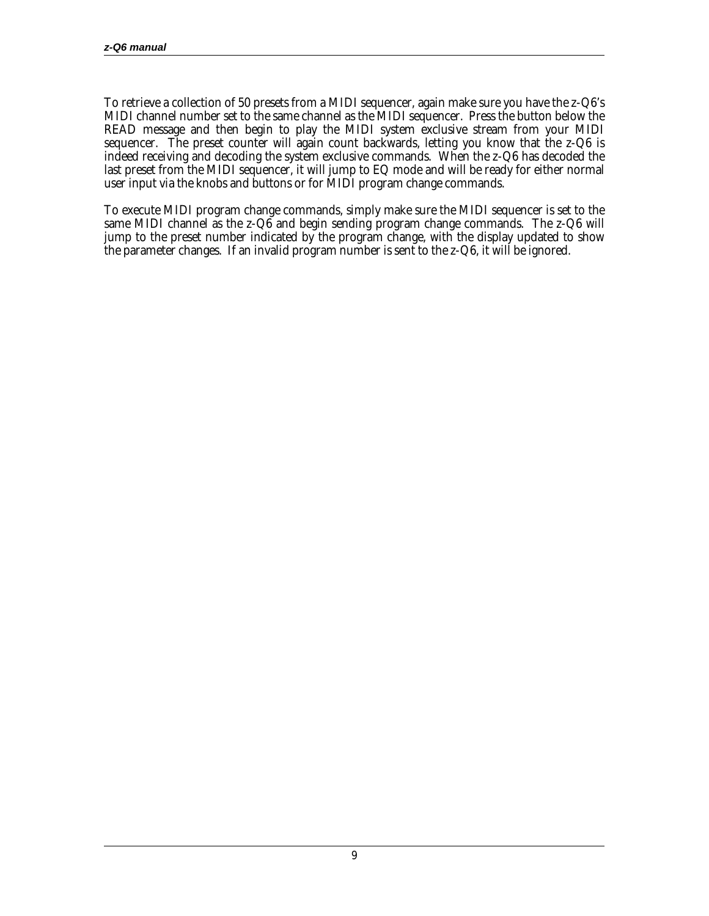To retrieve a collection of 50 presets from a MIDI sequencer, again make sure you have the z-Q6's MIDI channel number set to the same channel as the MIDI sequencer. Press the button below the READ message and then begin to play the MIDI system exclusive stream from your MIDI sequencer. The preset counter will again count backwards, letting you know that the z-Q6 is indeed receiving and decoding the system exclusive commands. When the z-Q6 has decoded the last preset from the MIDI sequencer, it will jump to EQ mode and will be ready for either normal user input via the knobs and buttons or for MIDI program change commands.

To execute MIDI program change commands, simply make sure the MIDI sequencer is set to the same MIDI channel as the z-Q6 and begin sending program change commands. The z-Q6 will jump to the preset number indicated by the program change, with the display updated to show the parameter changes. If an invalid program number is sent to the z-Q6, it will be ignored.